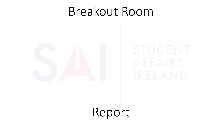

Report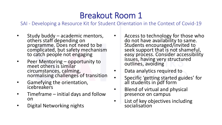- Study buddy academic mentors, others staff depending on programme. Does not need to be complicated, but safety mechanism to catch people not engaging
- Peer Mentoring opportunity to meet others is similar circumstances, calming, normalising challenges of transition
- Gamefying the orientation, icebreakers
- $Timeframe initial days$  and follow on
- Digital Networking nights
- Access to technology for those who do not have availability to same. Students encouraged/invited to seek support that is not shameful, easy process. Consider accessibility issues, having very structured outlines, avoiding
- Data analytics required to
- Specific 'getting started guides' for all students in pdf form
- Blend of virtual and physical presence on campus
- List of key objectives including socialisation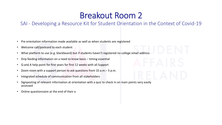- Pre orientation information made available as well as when students are registered
- Welcome call/postcard to each student
- What platform to use (e.g. blackboard) but if students haven't registered no college email address
- Drip feeding information on a need to know basis timing essential
- Q and A help point for first years for first 12 weeks with all Support
- Zoom room with a support person to ask questions from 10 a.m.– 5 p.m.
- Integrated schedule of communication from all stakeholders
- Signposting of relevant information at orientation with a quiz to check in on main points very easily accessed
- Online questionnaire at the end of their o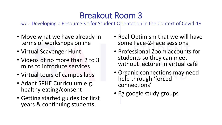- Move what we have already in terms of workshops online
- Virtual Scavenger Hunt
- Videos of no more than 2 to 3 mins to introduce services
- Virtual tours of campus labs
- Adapt SPHE Curriculum e.g. healthy eating/consent
- Getting started guides for first years & continuing students.
- Real Optimism that we will have some Face-2-Face sessions
- Professional Zoom accounts for students so they can meet without lecturer in virtual café
- Organic connections may need help through 'forced connections'
- Eg google study groups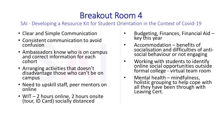- Clear and Simple Communication
- Consistent communication to avoid confusion
- Ambassadors know who is on campus and correct information for each cohort
- Arranging activities that doesn't disadvantage those who can't be on campus
- Need to upskill staff, peer mentors on online
- WIT 2 hours online, 2 hours onsite (tour, ID Card) socially distanced
- Budgeting, Finances, Financial Aid key this year
- Accommodation benefits of socialisation and difficulties of antisocial behaviour or not engaging
- Working with students to identify online social opportunities outside formal college - virtual team room
- Mental health mindfulness, holistic grouping to help cope with all they have been through with Leaving Cert.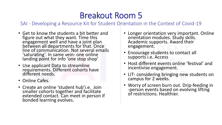- Get to know the students a bit better and figure out what they want. Time this engagement well and have a joint plan between all departments for that. Once line of communication. Not several emails 'saturating'. In same vein- one online landing point for info 'one stop shop'
- Use applicant Data to streamline requirements. Different cohorts have different needs.
- Online Cafes.
- Create an online 'student hub'i.e. Join smaller cohorts together and facilitate extended contact. Can meet in person if bonded learning evolves.
- Longer orientation very important. Online orientation modules. Study skills. Academic supports. Award their engagement.
- Encourage students to contact all supports i.e. Access
- Host different events online 'festival' and incentivise engagement.
- LIT- considering bringing new students on campus for 2 weeks.
- Worry of screen burn out. Drip-feeding in -person events based on evolving lifting of restrictions. Healthier.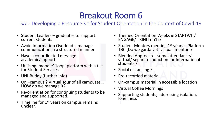- Student Leaders graduates to support current students
- Avoid Information Overload manage communication in a structured manner
- Have a co-ordinated message academic/support
- Utilising 'moodle' 'loop' platform with a tile for Student Services
- UNI-Buddy (further info)
- On –campus ? Virtual Tour of all campuses… HOW do we manage it?
- Re-orientiation for continuing students to be managed and supported.
- Timeline for  $1<sup>st</sup>$  years on campus remains unclear.
- Themed Orientation Weeks ie STARTWIT/ ENGAGE/ TRINITYin12/
- Student Mentors meeting  $1<sup>st</sup>$  years Platform TBC (Do we garda vet 'virtual' mentors?
- Blended Approach some attendance/ virtual/ separate induction for International students /
- Social distancing?
- Pre-recorded material
- On-campus material in accessible location
- Virtual Coffee Mornings
- Supporting students; addressing isolation, loneliness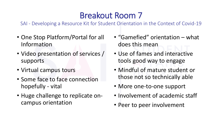- One Stop Platform/Portal for all Information
- Video presentation of services / supports
- Virtual campus tours
- Some face to face connection hopefully - vital
- Huge challenge to replicate oncampus orientation
- "Gamefied" orientation what does this mean
- Use of fames and interactive tools good way to engage
- Mindful of mature student or those not so technically able
- More one-to-one support
- Involvement of academic staff
- Peer to peer involvement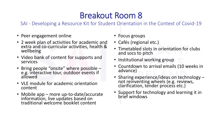- Peer engagement online
- 2 week plan of activities for academic and extra and co-curricular activities, health & wellbeing
- Video bank of content for supports and services
- Bring people "onsite" where possible e.g. interactive tour, outdoor events if allowed
- VLE module for academic orientation content
- Mobile app more up-to-date/accurate information, live updates based on traditional welcome booklet content
- Focus groups
- Cafés (regional etc.)
- Timetabled slots in orientation for clubs and socs to pitch
- Institutional working group
- Countdown to arrival emails (10 weeks in advance)
- Sharing experience/ideas on technology not reinventing wheels (e.g. reviews, clarification, tender process etc.)
- Support for technology and learning it in brief windows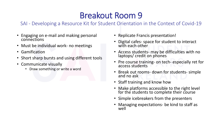- Engaging on e-mail and making personal connections
- Must be individual work- no meetings
- Gamification
- Short sharp bursts and using different tools
- Communicate visually
	- Draw something or write a word
- Replicate Francis presentation!
- Digital cafes- space for student to interact with each other
- Access students- may be difficulties with no laptops/ credit on phones
- Pre course training- on tech- especially ret for access students
- Break out rooms- down for students- simple and no ask
- Staff training and know how
- Make platforms accessible to the right level for the students to complete their course
- Simple icebreakers from the presenters
- Managing expectations- be kind to staff as well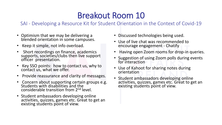- Optimism that we may be delivering a blended orientation in some campuses.
- Keep it simple, not info overload.
- Short recordings on finance, academics supports, societies/clubs then live support officer presentation.
- Key SSO points: how to contact us, why to contact us, what we offer.
- Provide reassurance and clarity of messages.
- Concern about supporting certain groups e.g. Students with disabilities and the considerable transition from 2nd level.
- Student ambassadors developing online activities, quizzes, games etc. Great to get an existing students point of view.
- Discussed technologies being used.
- Use of live chat was recommended to encourage engagement - Chatify
- Having open Zoom rooms for drop-in queries.
- Suggestion of using Zoom polls during events for interaction
- Use of Kahoot for sharing notes during orientation
- Student ambassadors developing online activities, quizzes, games etc. Great to get an existing students point of view.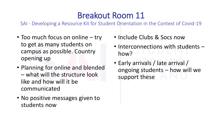- Too much focus on online try to get as many students on campus as possible. Country opening up
- Planning for online and blended – what will the structure look like and how will it be communicated
- No positive messages given to students now
- Include Clubs & Socs now
- Interconnections with students how?
- Early arrivals / late arrival / ongoing students – how will we support these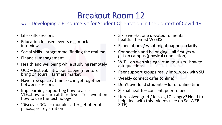- Life skills sessions
- Education focused events e.g. mock interviews
- Social skills...programme 'finding the real me'
- Financial management
- Health and wellbeing while studying remotely
- UCD festival, intro point... peer mentors bring on tours…'farmers market'
- Have free space / time so can get together between sessions
- Imp learning support eg how to access VLE…how to learn at third level. Trial event on how to use the technology
- 'Discover DCU' modules after get offer of place…pre registration
- 5/6 weeks, one devoted to mental health…themed WEEKS
- Expectations / what might happen…clarify
- Connection and belonging all first yrs will get on campus (physical connection)
- WIT on web site eg virtual tourism...how to ask questions
- Peer support groups really imp…work with SU
- Weekly connect cafes (online)
- Don't overload students lot of online time
- Sexual health consent, peer to peer
- Unresolved grief / loss eg LC…angry? Need to help deal with this…videos (see on Sai WEB SITE)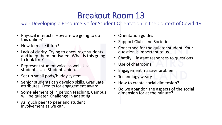- Physical interacts. How are we going to do this online?
- How to make it fun?
- Lack of clarity. Trying to encourage students and keep them motivated. What is this going to look like?
- Represent student voice as well. Use students. Use Student Union.
- Set up small pods/buddy system.
- Senior students can develop skills. Graduate attributes. Credits for engagement award.
- Some element of in person teaching. Campus will be quieter. Challenge in adapting.
- As much peer to peer and student involvement as we can.
- Orientation guides
- Support Clubs and Societies
- Concerned for the quieter student. Your question is important to us.
- Chatify instant responses to questions
- Use of chatrooms
- Engagement massive problem
- Technology weary
- How to create social dimension?
- Do we abandon the aspects of the social dimension for at the minute?